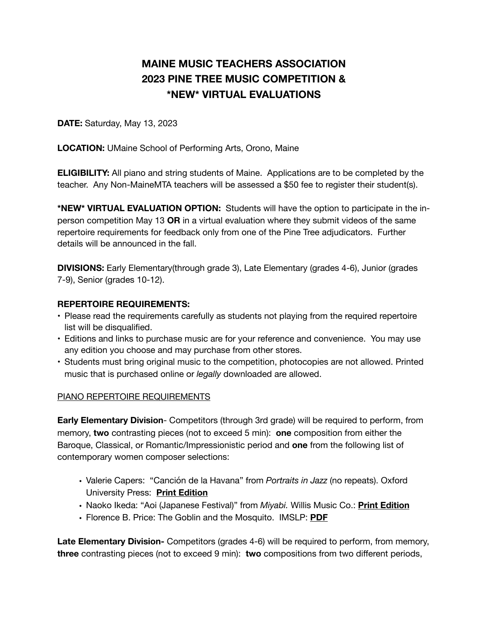## **MAINE MUSIC TEACHERS ASSOCIATION 2023 PINE TREE MUSIC COMPETITION & \*NEW\* VIRTUAL EVALUATIONS**

**DATE:** Saturday, May 13, 2023

**LOCATION:** UMaine School of Performing Arts, Orono, Maine

**ELIGIBILITY:** All piano and string students of Maine. Applications are to be completed by the teacher. Any Non-MaineMTA teachers will be assessed a \$50 fee to register their student(s).

**\*NEW\* VIRTUAL EVALUATION OPTION:** Students will have the option to participate in the inperson competition May 13 **OR** in a virtual evaluation where they submit videos of the same repertoire requirements for feedback only from one of the Pine Tree adjudicators. Further details will be announced in the fall.

**DIVISIONS:** Early Elementary(through grade 3), Late Elementary (grades 4-6), Junior (grades 7-9), Senior (grades 10-12).

## **REPERTOIRE REQUIREMENTS:**

- Please read the requirements carefully as students not playing from the required repertoire list will be disqualified.
- Editions and links to purchase music are for your reference and convenience. You may use any edition you choose and may purchase from other stores.
- Students must bring original music to the competition, photocopies are not allowed. Printed music that is purchased online or *legally* downloaded are allowed.

## PIANO REPERTOIRE REQUIREMENTS

**Early Elementary Division**- Competitors (through 3rd grade) will be required to perform, from memory, **two** contrasting pieces (not to exceed 5 min): **one** composition from either the Baroque, Classical, or Romantic/Impressionistic period and **one** from the following list of contemporary women composer selections:

- **•** Valerie Capers: "Canción de la Havana" from *Portraits in Jazz* (no repeats). Oxford University Press: **[Print Edition](https://www.sheetmusicplus.com/title/portraits-in-jazz-sheet-music/19748173?d=sem_sidecar&popup=false&d=sem_sidecar&popup=false&country_code=USA&utm_source=google&utm_medium=cpc&adpos=&scid=scplp19748173&sc_intid=19748173&d=sem_ggl_%7Bcampaign_id%7D_&gclid=CjwKCAjw-sqKBhBjEiwAVaQ9azxvVjMJzQpAa6iXnEJ83TMOVu1___WrIvgkCE4nLQvFOrjHm0sOGxoC1PUQAvD_BwE)**
- **•** Naoko Ikeda: "Aoi (Japanese Festival)" from *Miyabi.* Willis Music Co.: **[Print Edition](https://www.sheetmusicplus.com/title/miyabi-sheet-music/19754691)**
- **•** Florence B. Price: The Goblin and the Mosquito. IMSLP: **[PDF](https://s9.imslp.org/files/imglnks/usimg/1/1c/IMSLP638360-PMLP300935-The_Goblin_And_The_Mosquito_Price_McKinnonED.pdf)**

**Late Elementary Division-** Competitors (grades 4-6) will be required to perform, from memory, **three** contrasting pieces (not to exceed 9 min): **two** compositions from two different periods,